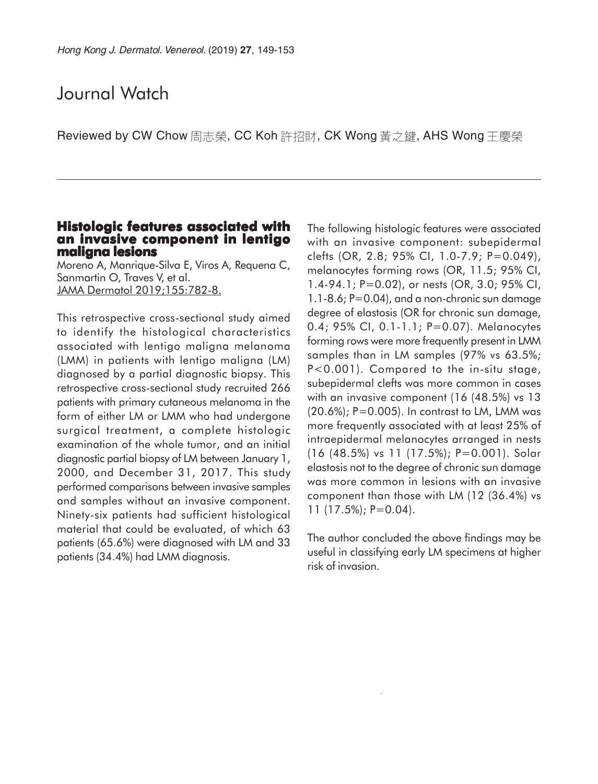# Journal Watch

Reviewed by CW Chow 周志榮, CC Koh 許招財, CK Wong 黃之鍵, AHS Wong 王慶榮

#### **Histologic features associated with an invasive component in lentigo maligna lesions**

Moreno A, Manrique-Silva E, Viros A, Requena C, Sanmartin O, Traves V, et al. JAMA Dermatol 2019;155:782-8.

This retrospective cross-sectional study aimed to identify the histological characteristics associated with lentigo maligna melanoma (LMM) in patients with lentigo maligna (LM) diagnosed by a partial diagnostic biopsy. This retrospective cross-sectional study recruited 266 patients with primary cutaneous melanoma in the form of either LM or LMM who had undergone surgical treatment, a complete histologic examination of the whole tumor, and an initial diagnostic partial biopsy of LM between January 1, 2000, and December 31, 2017. This study performed comparisons between invasive samples and samples without an invasive component. Ninety-six patients had sufficient histological material that could be evaluated, of which 63 patients (65.6%) were diagnosed with LM and 33 patients (34.4%) had LMM diagnosis.

The following histologic features were associated with an invasive component: subepidermal clefts (OR, 2.8; 95% CI, 1.0-7.9; P=0.049), melanocytes forming rows (OR, 11.5; 95% CI, 1.4-94.1; P=0.02), or nests (OR, 3.0; 95% CI, 1.1-8.6; P=0.04), and a non-chronic sun damage degree of elastosis (OR for chronic sun damage, 0.4; 95% CI, 0.1-1.1; P=0.07). Melanocytes forming rows were more frequently present in LMM samples than in LM samples (97% vs 63.5%; P<0.001). Compared to the in-situ stage, subepidermal clefts was more common in cases with an invasive component (16 (48.5%) vs 13  $(20.6\%)$ ; P=0.005). In contrast to LM, LMM was more frequently associated with at least 25% of intraepidermal melanocytes arranged in nests (16 (48.5%) vs 11 (17.5%); P=0.001). Solar elastosis not to the degree of chronic sun damage was more common in lesions with an invasive component than those with LM (12 (36.4%) vs 11 (17.5%); P=0.04).

The author concluded the above findings may be useful in classifying early LM specimens at higher risk of invasion.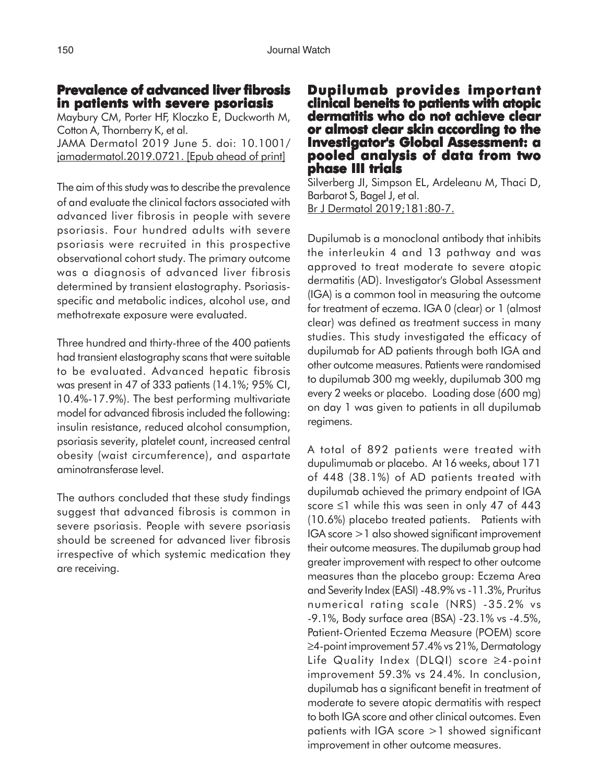## **Prevalence of advanced liver fibrosis in patients with severe psoriasis**

Maybury CM, Porter HF, Kloczko E, Duckworth M, Cotton A, Thornberry K, et al. JAMA Dermatol 2019 June 5. doi: 10.1001/ jamadermatol.2019.0721. [Epub ahead of print]

The aim of this study was to describe the prevalence of and evaluate the clinical factors associated with advanced liver fibrosis in people with severe psoriasis. Four hundred adults with severe psoriasis were recruited in this prospective observational cohort study. The primary outcome was a diagnosis of advanced liver fibrosis determined by transient elastography. Psoriasisspecific and metabolic indices, alcohol use, and methotrexate exposure were evaluated.

Three hundred and thirty-three of the 400 patients had transient elastography scans that were suitable to be evaluated. Advanced hepatic fibrosis was present in 47 of 333 patients (14.1%; 95% CI, 10.4%-17.9%). The best performing multivariate model for advanced fibrosis included the following: insulin resistance, reduced alcohol consumption, psoriasis severity, platelet count, increased central obesity (waist circumference), and aspartate aminotransferase level.

The authors concluded that these study findings suggest that advanced fibrosis is common in severe psoriasis. People with severe psoriasis should be screened for advanced liver fibrosis irrespective of which systemic medication they are receiving.

### **Dupilumab provides important provides important clinical beneits to patients with atopic dermatitis who do not achieve clear or almost clear skin according to the Investigator's Global Assessment: a pooled analysis of data from two phase III trials**

Silverberg JI, Simpson EL, Ardeleanu M, Thaci D, Barbarot S, Bagel J, et al. Br J Dermatol 2019;181:80-7.

Dupilumab is a monoclonal antibody that inhibits the interleukin 4 and 13 pathway and was approved to treat moderate to severe atopic dermatitis (AD). Investigator's Global Assessment (IGA) is a common tool in measuring the outcome for treatment of eczema. IGA 0 (clear) or 1 (almost clear) was defined as treatment success in many studies. This study investigated the efficacy of dupilumab for AD patients through both IGA and other outcome measures. Patients were randomised to dupilumab 300 mg weekly, dupilumab 300 mg every 2 weeks or placebo. Loading dose (600 mg) on day 1 was given to patients in all dupilumab regimens.

A total of 892 patients were treated with dupulimumab or placebo. At 16 weeks, about 171 of 448 (38.1%) of AD patients treated with dupilumab achieved the primary endpoint of IGA score ≤1 while this was seen in only 47 of 443 (10.6%) placebo treated patients. Patients with IGA score >1 also showed significant improvement their outcome measures. The dupilumab group had greater improvement with respect to other outcome measures than the placebo group: Eczema Area and Severity Index (EASI) -48.9% vs -11.3%, Pruritus numerical rating scale (NRS) -35.2% vs -9.1%, Body surface area (BSA) -23.1% vs -4.5%, Patient-Oriented Eczema Measure (POEM) score ≥4-point improvement 57.4% vs 21%, Dermatology Life Quality Index (DLQI) score ≥4-point improvement 59.3% vs 24.4%. In conclusion, dupilumab has a significant benefit in treatment of moderate to severe atopic dermatitis with respect to both IGA score and other clinical outcomes. Even patients with IGA score >1 showed significant improvement in other outcome measures.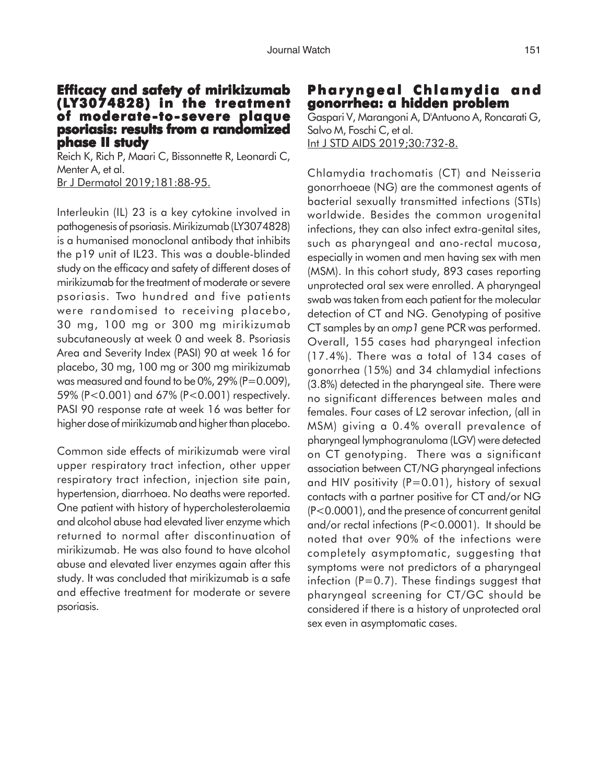#### **Efficacy and safety of mirikizumab (LY3074828) in the treatment Y3074828) in the treatment of moderate-to-severe plaque psoriasis: results from a randomized phase II study**

Reich K, Rich P, Maari C, Bissonnette R, Leonardi C, Menter A, et al. Br J Dermatol 2019;181:88-95.

Interleukin (IL) 23 is a key cytokine involved in pathogenesis of psoriasis. Mirikizumab (LY3074828) is a humanised monoclonal antibody that inhibits the p19 unit of IL23. This was a double-blinded study on the efficacy and safety of different doses of mirikizumab for the treatment of moderate or severe psoriasis. Two hundred and five patients were randomised to receiving placebo, 30 mg, 100 mg or 300 mg mirikizumab subcutaneously at week 0 and week 8. Psoriasis Area and Severity Index (PASI) 90 at week 16 for placebo, 30 mg, 100 mg or 300 mg mirikizumab was measured and found to be  $0\%$ ,  $29\%$  (P=0.009), 59% (P<0.001) and 67% (P<0.001) respectively. PASI 90 response rate at week 16 was better for higher dose of mirikizumab and higher than placebo.

Common side effects of mirikizumab were viral upper respiratory tract infection, other upper respiratory tract infection, injection site pain, hypertension, diarrhoea. No deaths were reported. One patient with history of hypercholesterolaemia and alcohol abuse had elevated liver enzyme which returned to normal after discontinuation of mirikizumab. He was also found to have alcohol abuse and elevated liver enzymes again after this study. It was concluded that mirikizumab is a safe and effective treatment for moderate or severe psoriasis.

# **Pharyngeal Chlamydia and gonorrhea: a hidden problem**

Gaspari V, Marangoni A, D'Antuono A, Roncarati G, Salvo M, Foschi C, et al. Int J STD AIDS 2019;30:732-8.

Chlamydia trachomatis (CT) and Neisseria gonorrhoeae (NG) are the commonest agents of bacterial sexually transmitted infections (STIs) worldwide. Besides the common urogenital infections, they can also infect extra-genital sites, such as pharyngeal and ano-rectal mucosa, especially in women and men having sex with men (MSM). In this cohort study, 893 cases reporting unprotected oral sex were enrolled. A pharyngeal swab was taken from each patient for the molecular detection of CT and NG. Genotyping of positive CT samples by an *omp1* gene PCR was performed. Overall, 155 cases had pharyngeal infection (17.4%). There was a total of 134 cases of gonorrhea (15%) and 34 chlamydial infections (3.8%) detected in the pharyngeal site. There were no significant differences between males and females. Four cases of L2 serovar infection, (all in MSM) giving a 0.4% overall prevalence of pharyngeal lymphogranuloma (LGV) were detected on CT genotyping. There was a significant association between CT/NG pharyngeal infections and HIV positivity  $(P=0.01)$ , history of sexual contacts with a partner positive for CT and/or NG (P<0.0001), and the presence of concurrent genital and/or rectal infections (P<0.0001). It should be noted that over 90% of the infections were completely asymptomatic, suggesting that symptoms were not predictors of a pharyngeal infection ( $P=0.7$ ). These findings suggest that pharyngeal screening for CT/GC should be considered if there is a history of unprotected oral sex even in asymptomatic cases.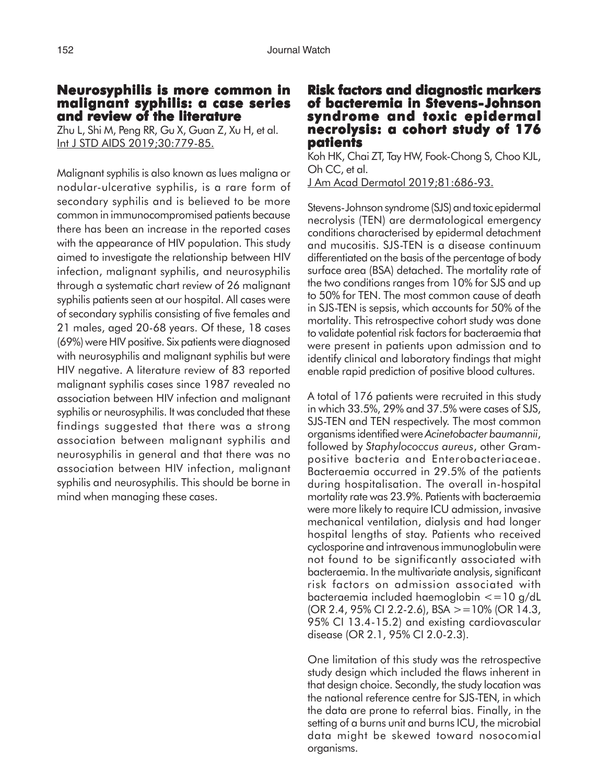#### **Neurosyphilis is more common in malignant syphilis: a case series and review of the literature**

Zhu L, Shi M, Peng RR, Gu X, Guan Z, Xu H, et al. Int J STD AIDS 2019;30:779-85.

Malignant syphilis is also known as lues maligna or nodular-ulcerative syphilis, is a rare form of secondary syphilis and is believed to be more common in immunocompromised patients because there has been an increase in the reported cases with the appearance of HIV population. This study aimed to investigate the relationship between HIV infection, malignant syphilis, and neurosyphilis through a systematic chart review of 26 malignant syphilis patients seen at our hospital. All cases were of secondary syphilis consisting of five females and 21 males, aged 20-68 years. Of these, 18 cases (69%) were HIV positive. Six patients were diagnosed with neurosyphilis and malignant syphilis but were HIV negative. A literature review of 83 reported malignant syphilis cases since 1987 revealed no association between HIV infection and malignant syphilis or neurosyphilis. It was concluded that these findings suggested that there was a strong association between malignant syphilis and neurosyphilis in general and that there was no association between HIV infection, malignant syphilis and neurosyphilis. This should be borne in mind when managing these cases.

#### **Risk factors and diagnostic markers of bacteremia in Stevens-Johnson syndrome and toxic epidermal and epidermal necrolysis: a cohort study of 176 patients**

Koh HK, Chai ZT, Tay HW, Fook-Chong S, Choo KJL, Oh CC, et al. J Am Acad Dermatol 2019;81:686-93.

Stevens-Johnson syndrome (SJS) and toxic epidermal necrolysis (TEN) are dermatological emergency conditions characterised by epidermal detachment and mucositis. SJS-TEN is a disease continuum differentiated on the basis of the percentage of body surface area (BSA) detached. The mortality rate of the two conditions ranges from 10% for SJS and up to 50% for TEN. The most common cause of death in SJS-TEN is sepsis, which accounts for 50% of the mortality. This retrospective cohort study was done to validate potential risk factors for bacteraemia that were present in patients upon admission and to identify clinical and laboratory findings that might enable rapid prediction of positive blood cultures.

A total of 176 patients were recruited in this study in which 33.5%, 29% and 37.5% were cases of SJS, SJS-TEN and TEN respectively. The most common organisms identified were *Acinetobacter baumannii*, followed by *Staphylococcus aureus*, other Grampositive bacteria and Enterobacteriaceae. Bacteraemia occurred in 29.5% of the patients during hospitalisation. The overall in-hospital mortality rate was 23.9%. Patients with bacteraemia were more likely to require ICU admission, invasive mechanical ventilation, dialysis and had longer hospital lengths of stay. Patients who received cyclosporine and intravenous immunoglobulin were not found to be significantly associated with bacteraemia. In the multivariate analysis, significant risk factors on admission associated with bacteraemia included haemoglobin <=10 g/dL  $(OR 2.4, 95\% CI 2.2-2.6), BSA > =10\% (OR 14.3,$ 95% CI 13.4-15.2) and existing cardiovascular disease (OR 2.1, 95% CI 2.0-2.3).

One limitation of this study was the retrospective study design which included the flaws inherent in that design choice. Secondly, the study location was the national reference centre for SJS-TEN, in which the data are prone to referral bias. Finally, in the setting of a burns unit and burns ICU, the microbial data might be skewed toward nosocomial organisms.